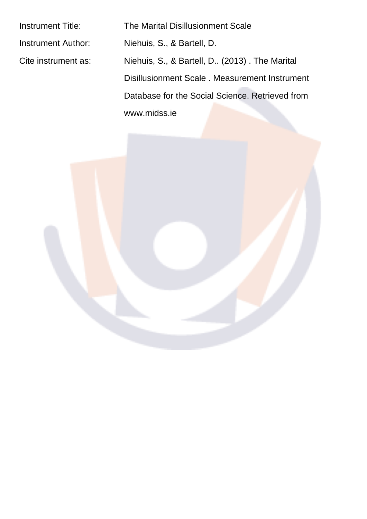Instrument Title: The Marital Disillusionment Scale Instrument Author: Niehuis, S., & Bartell, D. Cite instrument as: Niehuis, S., & Bartell, D.. (2013) . The Marital Disillusionment Scale . Measurement Instrument Database for the Social Science. Retrieved from www.midss.ie